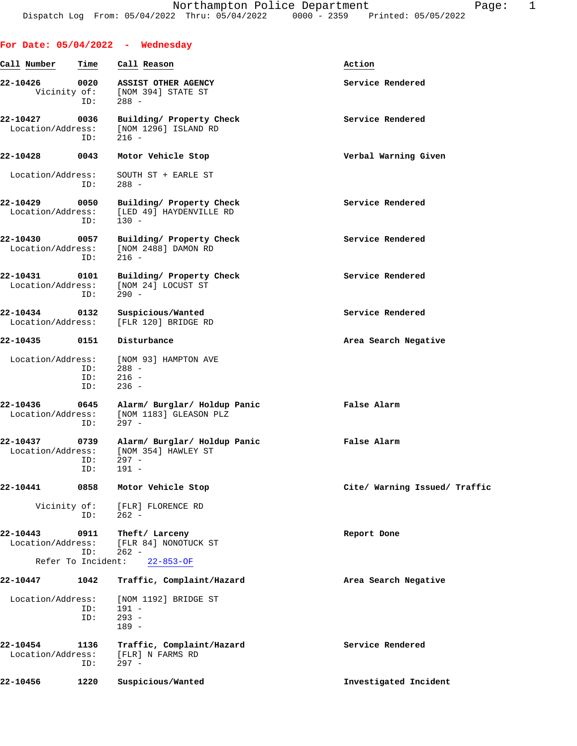|                               |                   | For Date: $05/04/2022 -$ Wednesday                                          |                               |
|-------------------------------|-------------------|-----------------------------------------------------------------------------|-------------------------------|
| Call Number                   | Time              | Call Reason                                                                 | Action                        |
| 22-10426<br>Vicinity of:      | 0020<br>ID:       | ASSIST OTHER AGENCY<br>[NOM 394] STATE ST<br>$288 -$                        | Service Rendered              |
| 22-10427<br>Location/Address: | 0036<br>ID:       | Building/ Property Check<br>[NOM 1296] ISLAND RD<br>$216 -$                 | Service Rendered              |
| 22-10428                      | 0043              | Motor Vehicle Stop                                                          | Verbal Warning Given          |
| Location/Address:             | ID:               | SOUTH ST + EARLE ST<br>$288 -$                                              |                               |
| 22-10429<br>Location/Address: | 0050<br>ID:       | Building/ Property Check<br>[LED 49] HAYDENVILLE RD<br>$130 -$              | Service Rendered              |
| 22-10430<br>Location/Address: | 0057<br>ID:       | Building/ Property Check<br>[NOM 2488] DAMON RD<br>$216 -$                  | Service Rendered              |
| 22-10431<br>Location/Address: | 0101<br>ID:       | Building/ Property Check<br>[NOM 24] LOCUST ST<br>$290 -$                   | Service Rendered              |
| 22-10434<br>Location/Address: | 0132              | Suspicious/Wanted<br>[FLR 120] BRIDGE RD                                    | Service Rendered              |
| 22-10435                      | 0151              | Disturbance                                                                 | Area Search Negative          |
| Location/Address:             | ID:<br>ID:<br>ID: | [NOM 93] HAMPTON AVE<br>$288 -$<br>$216 -$<br>$236 -$                       |                               |
| 22-10436<br>Location/Address: | 0645<br>ID:       | Alarm/ Burglar/ Holdup Panic<br>[NOM 1183] GLEASON PLZ<br>$297 -$           | False Alarm                   |
| 22-10437<br>Location/Address: | 0739<br>ID:       | Alarm/ Burglar/ Holdup Panic<br>[NOM 354] HAWLEY ST<br>ID: 297 -<br>$191 -$ | False Alarm                   |
| 22-10441                      | 0858              | Motor Vehicle Stop                                                          | Cite/ Warning Issued/ Traffic |
| Vicinity of:                  | ID:               | [FLR] FLORENCE RD<br>$262 -$                                                |                               |
| 22-10443<br>Location/Address: | 0911<br>ID:       | Theft/ Larceny<br>[FLR 84] NONOTUCK ST<br>$262 -$                           | Report Done                   |
| Refer To Incident:            |                   | $22 - 853 - OF$                                                             |                               |
| 22-10447                      | 1042              | Traffic, Complaint/Hazard                                                   | Area Search Negative          |
| Location/Address:             | ID:<br>ID:        | [NOM 1192] BRIDGE ST<br>$191 -$<br>$293 -$<br>$189 -$                       |                               |
| 22-10454<br>Location/Address: | 1136<br>ID:       | Traffic, Complaint/Hazard<br>[FLR] N FARMS RD<br>$297 -$                    | Service Rendered              |
| 22-10456                      | 1220              | Suspicious/Wanted                                                           | Investigated Incident         |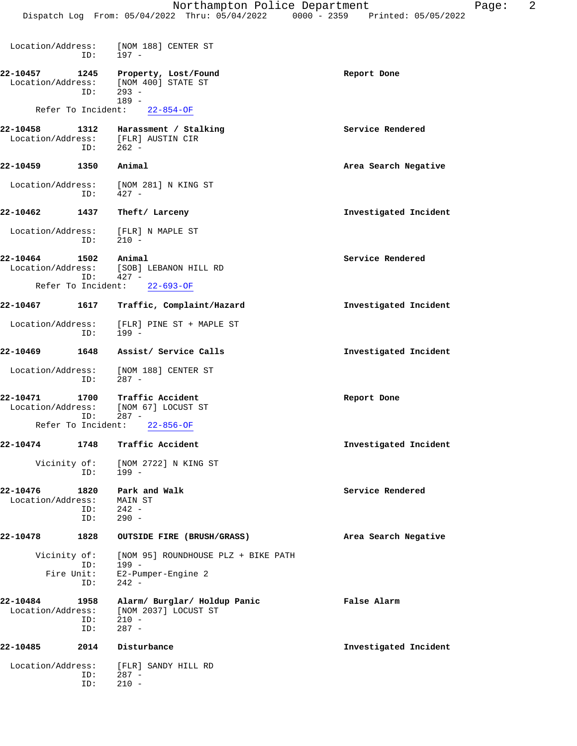|                                | ID:                | Location/Address: [NOM 188] CENTER ST<br>197 -                                        |                       |
|--------------------------------|--------------------|---------------------------------------------------------------------------------------|-----------------------|
| 22-10457<br>Location/Address:  | 1245<br>ID:        | Property, Lost/Found<br>[NOM 400] STATE ST<br>$293 -$<br>$189 -$                      | Report Done           |
| Refer To Incident:             |                    | $22 - 854 - OF$                                                                       |                       |
| 22-10458                       | 1312<br>ID:        | Harassment / Stalking<br>Location/Address: $[FLR]$ AUSTIN CIR<br>TD: 262 -<br>$262 -$ | Service Rendered      |
| 1350<br>22-10459               |                    | Animal                                                                                | Area Search Negative  |
| Location/Address:              | ID:                | [NOM 281] N KING ST<br>427 -                                                          |                       |
| 22-10462                       | 1437               | Theft/ Larceny                                                                        | Investigated Incident |
| Location/Address:              | ID:                | [FLR] N MAPLE ST<br>$210 -$                                                           |                       |
| 22-10464<br>Refer To Incident: | 1502<br>ID:        | Animal<br>Location/Address: [SOB] LEBANON HILL RD<br>$427 -$<br>$22 - 693 - OF$       | Service Rendered      |
| 22-10467                       | 1617               | Traffic, Complaint/Hazard                                                             | Investigated Incident |
| Location/Address:              | ID:                | [FLR] PINE ST + MAPLE ST<br>$199 -$                                                   |                       |
| 22-10469                       |                    | 1648 Assist/ Service Calls                                                            | Investigated Incident |
| Location/Address:              | ID:                | [NOM 188] CENTER ST<br>$287 -$                                                        |                       |
| 22-10471<br>Location/Address:  | 1700<br>ID:        | Traffic Accident<br>[NOM 67] LOCUST ST<br>$287 -$                                     | Report Done           |
| Refer To Incident:             |                    | $22 - 856 - OF$                                                                       |                       |
| 22-10474                       | 1748               | Traffic Accident                                                                      | Investigated Incident |
| Vicinity of:                   | ID:                | [NOM 2722] N KING ST<br>$199 -$                                                       |                       |
| 22-10476<br>Location/Address:  | 1820<br>ID:<br>ID: | Park and Walk<br>MAIN ST<br>$242 -$<br>$290 -$                                        | Service Rendered      |
| 22-10478                       | 1828               | OUTSIDE FIRE (BRUSH/GRASS)                                                            | Area Search Negative  |
| Vicinity of:<br>Fire Unit:     | ID:<br>ID:         | [NOM 95] ROUNDHOUSE PLZ + BIKE PATH<br>$199 -$<br>E2-Pumper-Engine 2<br>$242 -$       |                       |
| 22-10484<br>Location/Address:  | 1958<br>ID:<br>ID: | Alarm/ Burglar/ Holdup Panic<br>[NOM 2037] LOCUST ST<br>$210 -$<br>$287 -$            | False Alarm           |
| 22-10485                       | 2014               | Disturbance                                                                           | Investigated Incident |
| Location/Address:              | ID:<br>ID:         | [FLR] SANDY HILL RD<br>$287 -$<br>$210 -$                                             |                       |